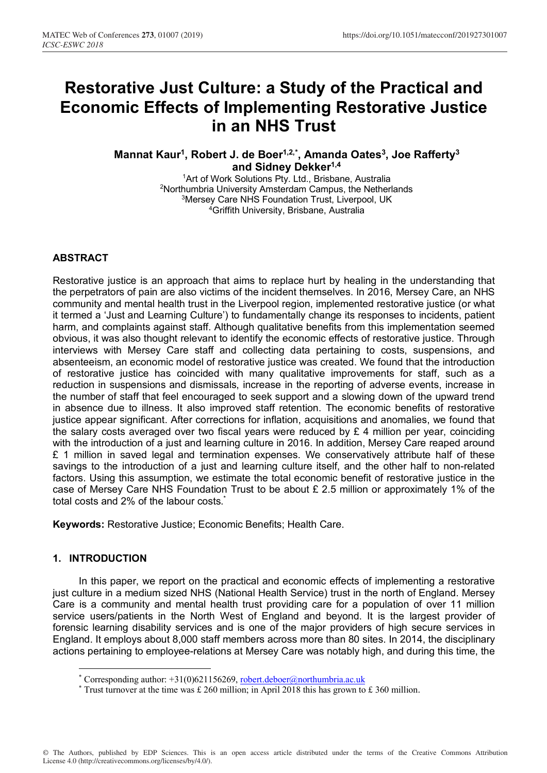# **Restorative Just Culture: a Study of the Practical and Economic Effects of Implementing Restorative Justice in an NHS Trust**

# **Mannat Kaur1, Robert J. de Boer1,2,\* , Amanda Oates3, Joe Rafferty3 and Sidney Dekker1,4**

<sup>1</sup>Art of Work Solutions Pty. Ltd., Brisbane, Australia 2Northumbria University Amsterdam Campus, the Netherlands 3Mersey Care NHS Foundation Trust, Liverpool, UK 4Griffith University, Brisbane, Australia

# **ABSTRACT**

Restorative justice is an approach that aims to replace hurt by healing in the understanding that the perpetrators of pain are also victims of the incident themselves. In 2016, Mersey Care, an NHS community and mental health trust in the Liverpool region, implemented restorative justice (or what it termed a 'Just and Learning Culture') to fundamentally change its responses to incidents, patient harm, and complaints against staff. Although qualitative benefits from this implementation seemed obvious, it was also thought relevant to identify the economic effects of restorative justice. Through interviews with Mersey Care staff and collecting data pertaining to costs, suspensions, and absenteeism, an economic model of restorative justice was created. We found that the introduction of restorative justice has coincided with many qualitative improvements for staff, such as a reduction in suspensions and dismissals, increase in the reporting of adverse events, increase in the number of staff that feel encouraged to seek support and a slowing down of the upward trend in absence due to illness. It also improved staff retention. The economic benefits of restorative justice appear significant. After corrections for inflation, acquisitions and anomalies, we found that the salary costs averaged over two fiscal years were reduced by £ 4 million per year, coinciding with the introduction of a just and learning culture in 2016. In addition, Mersey Care reaped around £ 1 million in saved legal and termination expenses. We conservatively attribute half of these savings to the introduction of a just and learning culture itself, and the other half to non-related factors. Using this assumption, we estimate the total economic benefit of restorative justice in the case of Mersey Care NHS Foundation Trust to be about  $£$  2.5 million or approximately 1% of the total costs and 2% of the labour costs.<sup>\*</sup>

**Keywords:** Restorative Justice; Economic Benefits; Health Care.

# **1. INTRODUCTION**

 $\overline{a}$ 

In this paper, we report on the practical and economic effects of implementing a restorative just culture in a medium sized NHS (National Health Service) trust in the north of England. Mersey Care is a community and mental health trust providing care for a population of over 11 million service users/patients in the North West of England and beyond. It is the largest provider of forensic learning disability services and is one of the major providers of high secure services in England. It employs about 8,000 staff members across more than 80 sites. In 2014, the disciplinary actions pertaining to employee-relations at Mersey Care was notably high, and during this time, the

<sup>\*</sup> Corresponding author: +31(0)621156269, robert.deboer@northumbria.ac.uk

<sup>\*</sup> Trust turnover at the time was £ 260 million; in April 2018 this has grown to £ 360 million.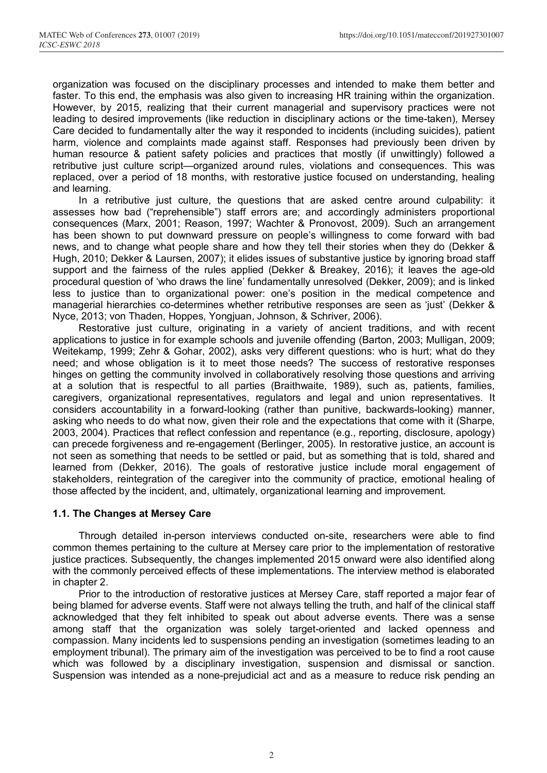organization was focused on the disciplinary processes and intended to make them better and faster. To this end, the emphasis was also given to increasing HR training within the organization. However, by 2015, realizing that their current managerial and supervisory practices were not leading to desired improvements (like reduction in disciplinary actions or the time-taken), Mersey Care decided to fundamentally alter the way it responded to incidents (including suicides), patient harm, violence and complaints made against staff. Responses had previously been driven by human resource & patient safety policies and practices that mostly (if unwittingly) followed a retributive just culture script—organized around rules, violations and consequences. This was replaced, over a period of 18 months, with restorative justice focused on understanding, healing and learning.

In a retributive just culture, the questions that are asked centre around culpability: it assesses how bad ("reprehensible") staff errors are; and accordingly administers proportional consequences (Marx, 2001; Reason, 1997; Wachter & Pronovost, 2009). Such an arrangement has been shown to put downward pressure on people's willingness to come forward with bad news, and to change what people share and how they tell their stories when they do (Dekker & Hugh, 2010; Dekker & Laursen, 2007); it elides issues of substantive justice by ignoring broad staff support and the fairness of the rules applied (Dekker & Breakey, 2016); it leaves the age-old procedural question of 'who draws the line' fundamentally unresolved (Dekker, 2009); and is linked less to justice than to organizational power: one's position in the medical competence and managerial hierarchies co-determines whether retributive responses are seen as 'just' (Dekker & Nyce, 2013; von Thaden, Hoppes, Yongjuan, Johnson, & Schriver, 2006).

Restorative just culture, originating in a variety of ancient traditions, and with recent applications to justice in for example schools and juvenile offending (Barton, 2003; Mulligan, 2009; Weitekamp, 1999; Zehr & Gohar, 2002), asks very different questions: who is hurt; what do they need; and whose obligation is it to meet those needs? The success of restorative responses hinges on getting the community involved in collaboratively resolving those questions and arriving at a solution that is respectful to all parties (Braithwaite, 1989), such as, patients, families, caregivers, organizational representatives, regulators and legal and union representatives. It considers accountability in a forward-looking (rather than punitive, backwards-looking) manner, asking who needs to do what now, given their role and the expectations that come with it (Sharpe, 2003, 2004). Practices that reflect confession and repentance (e.g., reporting, disclosure, apology) can precede forgiveness and re-engagement (Berlinger, 2005). In restorative justice, an account is not seen as something that needs to be settled or paid, but as something that is told, shared and learned from (Dekker, 2016). The goals of restorative justice include moral engagement of stakeholders, reintegration of the caregiver into the community of practice, emotional healing of those affected by the incident, and, ultimately, organizational learning and improvement.

# **1.1. The Changes at Mersey Care**

Through detailed in-person interviews conducted on-site, researchers were able to find common themes pertaining to the culture at Mersey care prior to the implementation of restorative justice practices. Subsequently, the changes implemented 2015 onward were also identified along with the commonly perceived effects of these implementations. The interview method is elaborated in chapter 2.

Prior to the introduction of restorative justices at Mersey Care, staff reported a major fear of being blamed for adverse events. Staff were not always telling the truth, and half of the clinical staff acknowledged that they felt inhibited to speak out about adverse events. There was a sense among staff that the organization was solely target-oriented and lacked openness and compassion. Many incidents led to suspensions pending an investigation (sometimes leading to an employment tribunal). The primary aim of the investigation was perceived to be to find a root cause which was followed by a disciplinary investigation, suspension and dismissal or sanction. Suspension was intended as a none-prejudicial act and as a measure to reduce risk pending an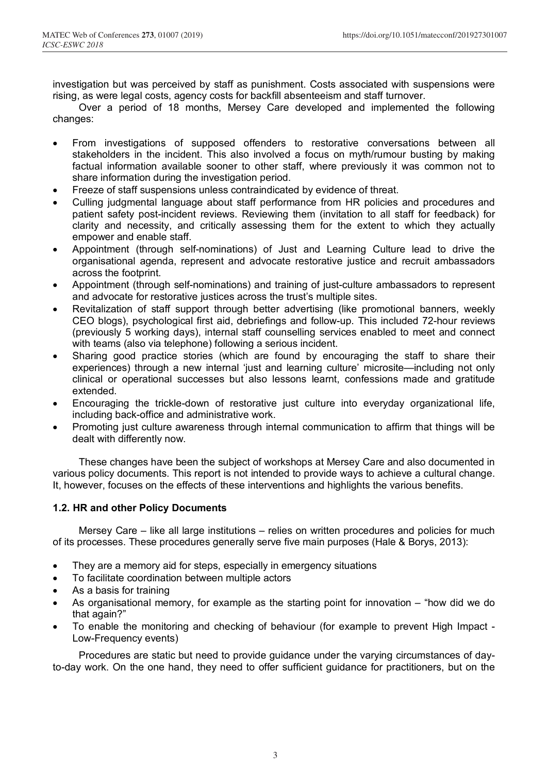investigation but was perceived by staff as punishment. Costs associated with suspensions were rising, as were legal costs, agency costs for backfill absenteeism and staff turnover.

Over a period of 18 months, Mersey Care developed and implemented the following changes:

- From investigations of supposed offenders to restorative conversations between all stakeholders in the incident. This also involved a focus on myth/rumour busting by making factual information available sooner to other staff, where previously it was common not to share information during the investigation period.
- Freeze of staff suspensions unless contraindicated by evidence of threat.
- Culling judgmental language about staff performance from HR policies and procedures and patient safety post-incident reviews. Reviewing them (invitation to all staff for feedback) for clarity and necessity, and critically assessing them for the extent to which they actually empower and enable staff.
- Appointment (through self-nominations) of Just and Learning Culture lead to drive the organisational agenda, represent and advocate restorative justice and recruit ambassadors across the footprint.
- Appointment (through self-nominations) and training of just-culture ambassadors to represent and advocate for restorative justices across the trust's multiple sites.
- Revitalization of staff support through better advertising (like promotional banners, weekly CEO blogs), psychological first aid, debriefings and follow-up. This included 72-hour reviews (previously 5 working days), internal staff counselling services enabled to meet and connect with teams (also via telephone) following a serious incident.
- Sharing good practice stories (which are found by encouraging the staff to share their experiences) through a new internal 'just and learning culture' microsite—including not only clinical or operational successes but also lessons learnt, confessions made and gratitude extended.
- Encouraging the trickle-down of restorative just culture into everyday organizational life, including back-office and administrative work.
- Promoting just culture awareness through internal communication to affirm that things will be dealt with differently now.

These changes have been the subject of workshops at Mersey Care and also documented in various policy documents. This report is not intended to provide ways to achieve a cultural change. It, however, focuses on the effects of these interventions and highlights the various benefits.

# **1.2. HR and other Policy Documents**

Mersey Care – like all large institutions – relies on written procedures and policies for much of its processes. These procedures generally serve five main purposes (Hale & Borys, 2013):

- They are a memory aid for steps, especially in emergency situations
- To facilitate coordination between multiple actors
- As a basis for training
- As organisational memory, for example as the starting point for innovation "how did we do that again?"
- To enable the monitoring and checking of behaviour (for example to prevent High Impact Low-Frequency events)

Procedures are static but need to provide guidance under the varying circumstances of dayto-day work. On the one hand, they need to offer sufficient guidance for practitioners, but on the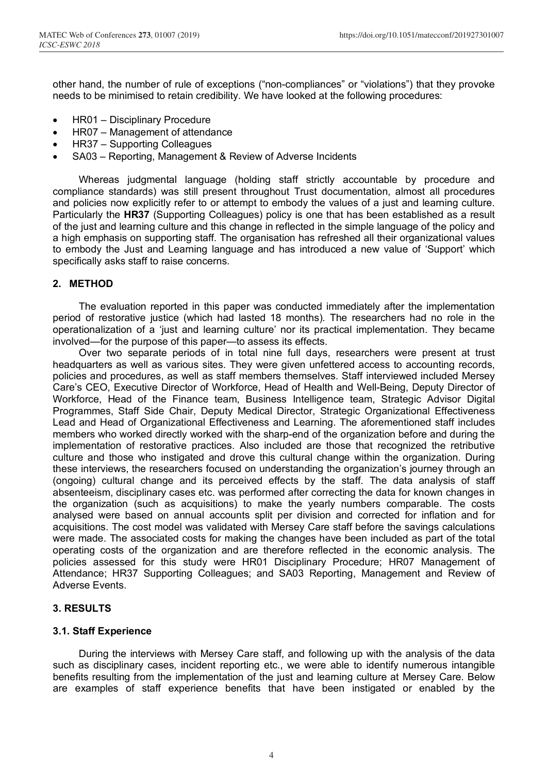other hand, the number of rule of exceptions ("non-compliances" or "violations") that they provoke needs to be minimised to retain credibility. We have looked at the following procedures:

- HR01 Disciplinary Procedure
- HR07 Management of attendance
- HR37 Supporting Colleagues
- SA03 Reporting, Management & Review of Adverse Incidents

Whereas judgmental language (holding staff strictly accountable by procedure and compliance standards) was still present throughout Trust documentation, almost all procedures and policies now explicitly refer to or attempt to embody the values of a just and learning culture. Particularly the **HR37** (Supporting Colleagues) policy is one that has been established as a result of the just and learning culture and this change in reflected in the simple language of the policy and a high emphasis on supporting staff. The organisation has refreshed all their organizational values to embody the Just and Learning language and has introduced a new value of 'Support' which specifically asks staff to raise concerns.

# **2. METHOD**

The evaluation reported in this paper was conducted immediately after the implementation period of restorative justice (which had lasted 18 months). The researchers had no role in the operationalization of a 'just and learning culture' nor its practical implementation. They became involved—for the purpose of this paper—to assess its effects.

Over two separate periods of in total nine full days, researchers were present at trust headquarters as well as various sites. They were given unfettered access to accounting records, policies and procedures, as well as staff members themselves. Staff interviewed included Mersey Care's CEO, Executive Director of Workforce, Head of Health and Well-Being, Deputy Director of Workforce, Head of the Finance team, Business Intelligence team, Strategic Advisor Digital Programmes, Staff Side Chair, Deputy Medical Director, Strategic Organizational Effectiveness Lead and Head of Organizational Effectiveness and Learning. The aforementioned staff includes members who worked directly worked with the sharp-end of the organization before and during the implementation of restorative practices. Also included are those that recognized the retributive culture and those who instigated and drove this cultural change within the organization. During these interviews, the researchers focused on understanding the organization's journey through an (ongoing) cultural change and its perceived effects by the staff. The data analysis of staff absenteeism, disciplinary cases etc. was performed after correcting the data for known changes in the organization (such as acquisitions) to make the yearly numbers comparable. The costs analysed were based on annual accounts split per division and corrected for inflation and for acquisitions. The cost model was validated with Mersey Care staff before the savings calculations were made. The associated costs for making the changes have been included as part of the total operating costs of the organization and are therefore reflected in the economic analysis. The policies assessed for this study were HR01 Disciplinary Procedure; HR07 Management of Attendance; HR37 Supporting Colleagues; and SA03 Reporting, Management and Review of Adverse Events.

# **3. RESULTS**

# **3.1. Staff Experience**

During the interviews with Mersey Care staff, and following up with the analysis of the data such as disciplinary cases, incident reporting etc., we were able to identify numerous intangible benefits resulting from the implementation of the just and learning culture at Mersey Care. Below are examples of staff experience benefits that have been instigated or enabled by the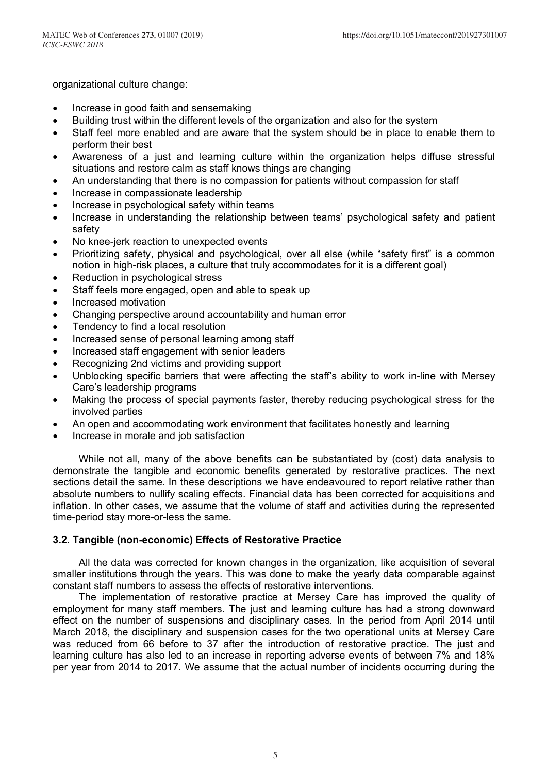organizational culture change:

- Increase in good faith and sensemaking
- Building trust within the different levels of the organization and also for the system
- Staff feel more enabled and are aware that the system should be in place to enable them to perform their best
- Awareness of a just and learning culture within the organization helps diffuse stressful situations and restore calm as staff knows things are changing
- An understanding that there is no compassion for patients without compassion for staff
- Increase in compassionate leadership
- Increase in psychological safety within teams
- Increase in understanding the relationship between teams' psychological safety and patient safety
- No knee-jerk reaction to unexpected events
- Prioritizing safety, physical and psychological, over all else (while "safety first" is a common notion in high-risk places, a culture that truly accommodates for it is a different goal)
- Reduction in psychological stress
- Staff feels more engaged, open and able to speak up
- Increased motivation
- Changing perspective around accountability and human error
- Tendency to find a local resolution
- Increased sense of personal learning among staff
- Increased staff engagement with senior leaders
- Recognizing 2nd victims and providing support
- Unblocking specific barriers that were affecting the staff's ability to work in-line with Mersey Care's leadership programs
- Making the process of special payments faster, thereby reducing psychological stress for the involved parties
- An open and accommodating work environment that facilitates honestly and learning
- Increase in morale and job satisfaction

While not all, many of the above benefits can be substantiated by (cost) data analysis to demonstrate the tangible and economic benefits generated by restorative practices. The next sections detail the same. In these descriptions we have endeavoured to report relative rather than absolute numbers to nullify scaling effects. Financial data has been corrected for acquisitions and inflation. In other cases, we assume that the volume of staff and activities during the represented time-period stay more-or-less the same.

#### **3.2. Tangible (non-economic) Effects of Restorative Practice**

All the data was corrected for known changes in the organization, like acquisition of several smaller institutions through the years. This was done to make the yearly data comparable against constant staff numbers to assess the effects of restorative interventions.

The implementation of restorative practice at Mersey Care has improved the quality of employment for many staff members. The just and learning culture has had a strong downward effect on the number of suspensions and disciplinary cases. In the period from April 2014 until March 2018, the disciplinary and suspension cases for the two operational units at Mersey Care was reduced from 66 before to 37 after the introduction of restorative practice. The just and learning culture has also led to an increase in reporting adverse events of between 7% and 18% per year from 2014 to 2017. We assume that the actual number of incidents occurring during the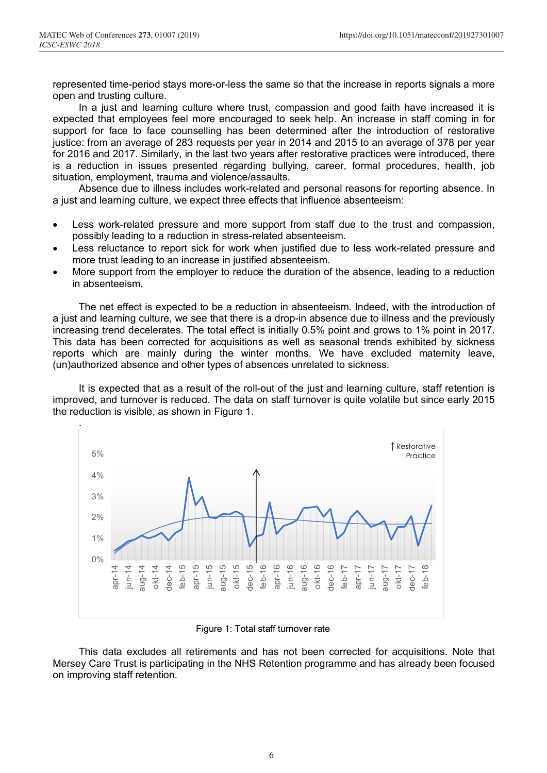represented time-period stays more-or-less the same so that the increase in reports signals a more open and trusting culture.

In a just and learning culture where trust, compassion and good faith have increased it is expected that employees feel more encouraged to seek help. An increase in staff coming in for support for face to face counselling has been determined after the introduction of restorative justice: from an average of 283 requests per year in 2014 and 2015 to an average of 378 per year for 2016 and 2017. Similarly, in the last two years after restorative practices were introduced, there is a reduction in issues presented regarding bullying, career, formal procedures, health, job situation, employment, trauma and violence/assaults.

Absence due to illness includes work-related and personal reasons for reporting absence. In a just and learning culture, we expect three effects that influence absenteeism:

- Less work-related pressure and more support from staff due to the trust and compassion, possibly leading to a reduction in stress-related absenteeism.
- Less reluctance to report sick for work when justified due to less work-related pressure and more trust leading to an increase in justified absenteeism.
- More support from the employer to reduce the duration of the absence, leading to a reduction in absenteeism.

The net effect is expected to be a reduction in absenteeism. Indeed, with the introduction of a just and learning culture, we see that there is a drop-in absence due to illness and the previously increasing trend decelerates. The total effect is initially 0.5% point and grows to 1% point in 2017. This data has been corrected for acquisitions as well as seasonal trends exhibited by sickness reports which are mainly during the winter months. We have excluded maternity leave, (un)authorized absence and other types of absences unrelated to sickness.

It is expected that as a result of the roll-out of the just and learning culture, staff retention is improved, and turnover is reduced. The data on staff turnover is quite volatile but since early 2015 the reduction is visible, as shown in Figure 1.



Figure 1: Total staff turnover rate

This data excludes all retirements and has not been corrected for acquisitions. Note that Mersey Care Trust is participating in the NHS Retention programme and has already been focused on improving staff retention.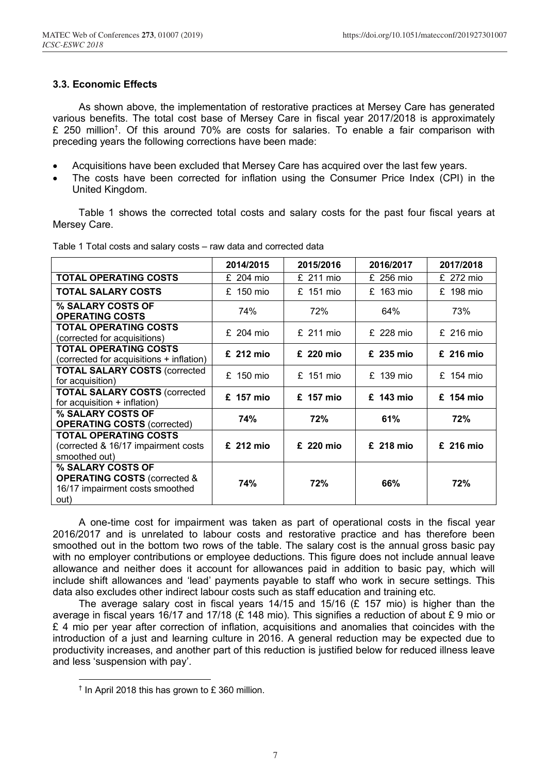# **3.3. Economic Effects**

As shown above, the implementation of restorative practices at Mersey Care has generated various benefits. The total cost base of Mersey Care in fiscal year 2017/2018 is approximately £ 250 million† . Of this around 70% are costs for salaries. To enable a fair comparison with preceding years the following corrections have been made:

- Acquisitions have been excluded that Mersey Care has acquired over the last few years.
- The costs have been corrected for inflation using the Consumer Price Index (CPI) in the United Kingdom.

Table 1 shows the corrected total costs and salary costs for the past four fiscal years at Mersey Care.

|                                                                                                         | 2014/2015   | 2015/2016   | 2016/2017   | 2017/2018   |
|---------------------------------------------------------------------------------------------------------|-------------|-------------|-------------|-------------|
| <b>TOTAL OPERATING COSTS</b>                                                                            | $£$ 204 mio | $£$ 211 mio | $£$ 256 mio | £ 272 mio   |
| <b>TOTAL SALARY COSTS</b>                                                                               | £ 150 mio   | £ 151 mio   | £ 163 mio   | £ 198 mio   |
| % SALARY COSTS OF<br><b>OPERATING COSTS</b>                                                             | 74%         | 72%         | 64%         | 73%         |
| <b>TOTAL OPERATING COSTS</b><br>(corrected for acquisitions)                                            | $£$ 204 mio | $£$ 211 mio | £ 228 mio   | $£$ 216 mio |
| <b>TOTAL OPERATING COSTS</b><br>(corrected for acquisitions + inflation)                                | £ 212 mio   | $£$ 220 mio | $£$ 235 mio | $£$ 216 mio |
| <b>TOTAL SALARY COSTS (corrected</b><br>for acquisition)                                                | $£$ 150 mio | $£$ 151 mio | $£$ 139 mio | $£$ 154 mio |
| <b>TOTAL SALARY COSTS (corrected</b><br>for acquisition $+$ inflation)                                  | $£$ 157 mio | $£$ 157 mio | $£$ 143 mio | $£$ 154 mio |
| % SALARY COSTS OF<br><b>OPERATING COSTS (corrected)</b>                                                 | 74%         | 72%         | 61%         | 72%         |
| <b>TOTAL OPERATING COSTS</b><br>(corrected & 16/17 impairment costs<br>smoothed out)                    | $£$ 212 mio | $£$ 220 mio | $£$ 218 mio | $£$ 216 mio |
| % SALARY COSTS OF<br><b>OPERATING COSTS (corrected &amp;</b><br>16/17 impairment costs smoothed<br>out) | 74%         | 72%         | 66%         | 72%         |

Table 1 Total costs and salary costs – raw data and corrected data

A one-time cost for impairment was taken as part of operational costs in the fiscal year 2016/2017 and is unrelated to labour costs and restorative practice and has therefore been smoothed out in the bottom two rows of the table. The salary cost is the annual gross basic pay with no employer contributions or employee deductions. This figure does not include annual leave allowance and neither does it account for allowances paid in addition to basic pay, which will include shift allowances and 'lead' payments payable to staff who work in secure settings. This data also excludes other indirect labour costs such as staff education and training etc.

The average salary cost in fiscal years 14/15 and 15/16 (£ 157 mio) is higher than the average in fiscal years 16/17 and 17/18 (£ 148 mio). This signifies a reduction of about £ 9 mio or £ 4 mio per year after correction of inflation, acquisitions and anomalies that coincides with the introduction of a just and learning culture in 2016. A general reduction may be expected due to productivity increases, and another part of this reduction is justified below for reduced illness leave and less 'suspension with pay'.

 $\overline{a}$ † In April 2018 this has grown to £ 360 million.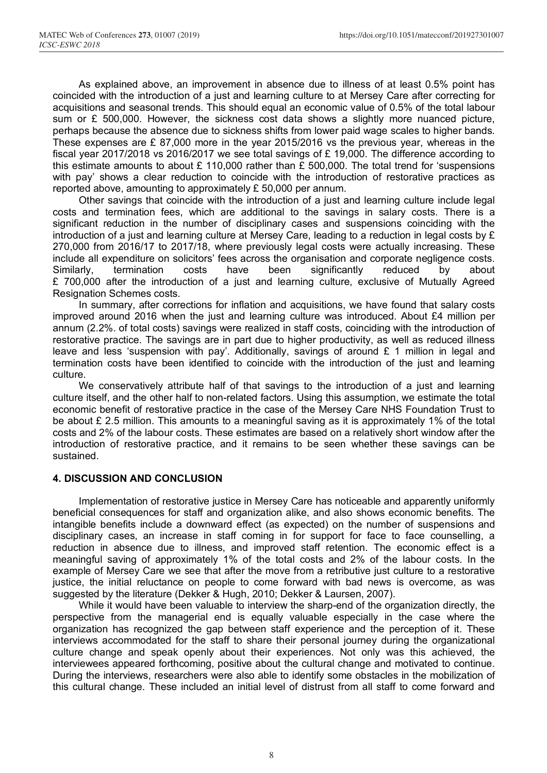As explained above, an improvement in absence due to illness of at least 0.5% point has coincided with the introduction of a just and learning culture to at Mersey Care after correcting for acquisitions and seasonal trends. This should equal an economic value of 0.5% of the total labour sum or £ 500,000. However, the sickness cost data shows a slightly more nuanced picture, perhaps because the absence due to sickness shifts from lower paid wage scales to higher bands. These expenses are £ 87,000 more in the year 2015/2016 vs the previous year, whereas in the fiscal year 2017/2018 vs 2016/2017 we see total savings of £ 19,000. The difference according to this estimate amounts to about £ 110,000 rather than £ 500,000. The total trend for 'suspensions with pay' shows a clear reduction to coincide with the introduction of restorative practices as reported above, amounting to approximately £ 50,000 per annum.

Other savings that coincide with the introduction of a just and learning culture include legal costs and termination fees, which are additional to the savings in salary costs. There is a significant reduction in the number of disciplinary cases and suspensions coinciding with the introduction of a just and learning culture at Mersey Care, leading to a reduction in legal costs by £ 270,000 from 2016/17 to 2017/18, where previously legal costs were actually increasing. These include all expenditure on solicitors' fees across the organisation and corporate negligence costs. Similarly, termination costs have been significantly reduced by about £ 700,000 after the introduction of a just and learning culture, exclusive of Mutually Agreed Resignation Schemes costs.

In summary, after corrections for inflation and acquisitions, we have found that salary costs improved around 2016 when the just and learning culture was introduced. About £4 million per annum (2.2%. of total costs) savings were realized in staff costs, coinciding with the introduction of restorative practice. The savings are in part due to higher productivity, as well as reduced illness leave and less 'suspension with pay'. Additionally, savings of around £ 1 million in legal and termination costs have been identified to coincide with the introduction of the just and learning culture.

We conservatively attribute half of that savings to the introduction of a just and learning culture itself, and the other half to non-related factors. Using this assumption, we estimate the total economic benefit of restorative practice in the case of the Mersey Care NHS Foundation Trust to be about £ 2.5 million. This amounts to a meaningful saving as it is approximately 1% of the total costs and 2% of the labour costs. These estimates are based on a relatively short window after the introduction of restorative practice, and it remains to be seen whether these savings can be sustained.

# **4. DISCUSSION AND CONCLUSION**

Implementation of restorative justice in Mersey Care has noticeable and apparently uniformly beneficial consequences for staff and organization alike, and also shows economic benefits. The intangible benefits include a downward effect (as expected) on the number of suspensions and disciplinary cases, an increase in staff coming in for support for face to face counselling, a reduction in absence due to illness, and improved staff retention. The economic effect is a meaningful saving of approximately 1% of the total costs and 2% of the labour costs. In the example of Mersey Care we see that after the move from a retributive just culture to a restorative justice, the initial reluctance on people to come forward with bad news is overcome, as was suggested by the literature (Dekker & Hugh, 2010; Dekker & Laursen, 2007).

While it would have been valuable to interview the sharp-end of the organization directly, the perspective from the managerial end is equally valuable especially in the case where the organization has recognized the gap between staff experience and the perception of it. These interviews accommodated for the staff to share their personal journey during the organizational culture change and speak openly about their experiences. Not only was this achieved, the interviewees appeared forthcoming, positive about the cultural change and motivated to continue. During the interviews, researchers were also able to identify some obstacles in the mobilization of this cultural change. These included an initial level of distrust from all staff to come forward and